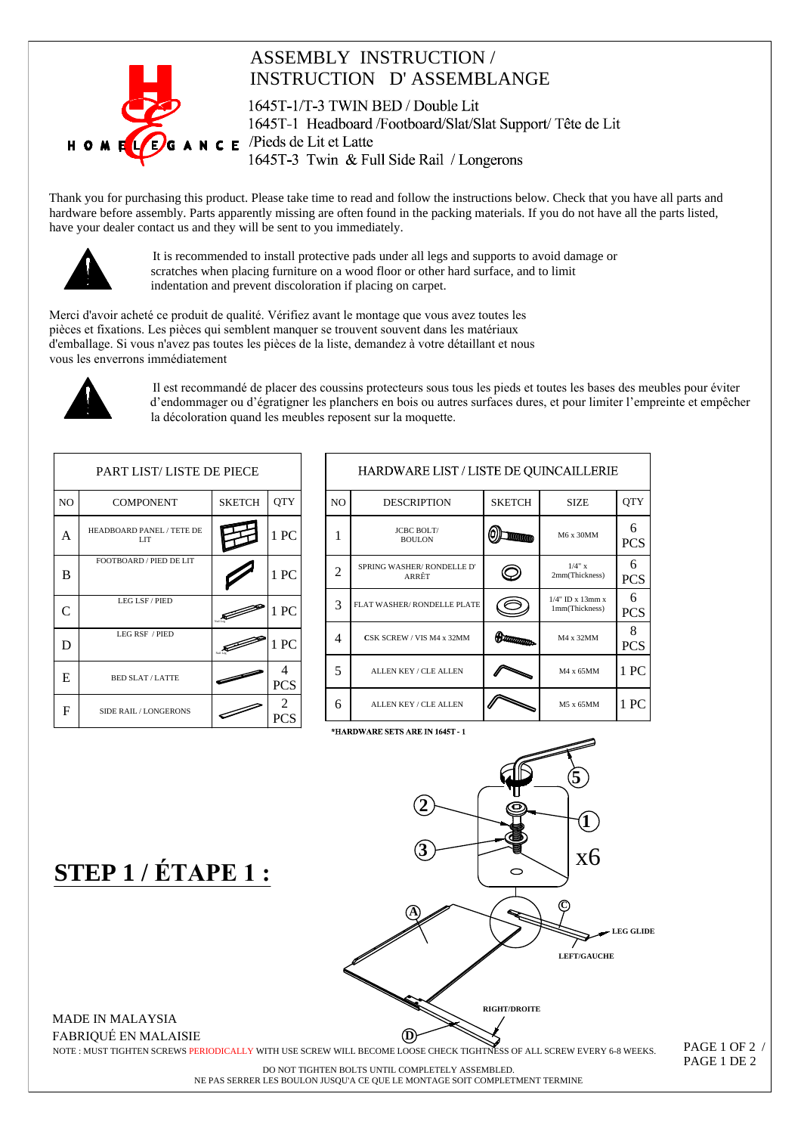

## **ASSEMBLY INSTRUCTION / INSTRUCTION D'ASSEMBLANGE**

1645T-1/T-3 TWIN BED / Double Lit 1645T-1 Headboard /Footboard/Slat/Slat Support/Tête de Lit  $N \in E$  /Pieds de Lit et Latte 1645T-3 Twin & Full Side Rail / Longerons

Thank you for purchasing this product. Please take time to read and follow the instructions below. Check that you have all parts and hardware before assembly. Parts apparently missing are often found in the packing materials. If you do not have all the parts listed, have your dealer contact us and they will be sent to you immediately.



It is recommended to install protective pads under all legs and supports to avoid damage or scratches when placing furniture on a wood floor or other hard surface, and to limit indentation and prevent discoloration if placing on carpet.

Merci d'avoir acheté ce produit de qualité. Vérifiez avant le montage que vous avez toutes les pièces et fixations. Les pièces qui semblent manquer se trouvent souvent dans les matériaux d'emballage. Si vous n'avez pas toutes les pièces de la liste, demandez à votre détaillant et nous vous les enverrons immédiatement



Il est recommandé de placer des coussins protecteurs sous tous les pieds et toutes les bases des meubles pour éviter d'endommager ou d'égratigner les planchers en bois ou autres surfaces dures, et pour limiter l'empreinte et empêcher la décoloration quand les meubles reposent sur la moquette.

| PART LIST/LISTE DE PIECE |                                              |               |            |  |  |
|--------------------------|----------------------------------------------|---------------|------------|--|--|
| N <sub>O</sub>           | <b>COMPONENT</b>                             | <b>SKETCH</b> | <b>QTY</b> |  |  |
| Α                        | HEADBOARD PANEL / TETE DE<br>LIT <sub></sub> |               | 1PC        |  |  |
| B                        | FOOTBOARD / PIED DE LIT                      |               | 1PC        |  |  |
| C                        | LEG LSF / PIED                               |               | 1 PC       |  |  |
| D                        | <b>LEG RSF / PIED</b>                        |               | 1 PC       |  |  |
| E                        | <b>BED SLAT/LATTE</b>                        |               | <b>PCS</b> |  |  |
| F                        | <b>SIDE RAIL/LONGERONS</b>                   |               |            |  |  |

| HARDWARE LIST / LISTE DE QUINCAILLERIE |                                    |               |                                          |                 |  |  |
|----------------------------------------|------------------------------------|---------------|------------------------------------------|-----------------|--|--|
| N <sub>O</sub>                         | <b>DESCRIPTION</b>                 | <b>SKETCH</b> | <b>SIZE</b>                              | <b>QTY</b>      |  |  |
| 1                                      | <b>JCBC BOLT/</b><br><b>BOULON</b> |               | M6 x 30MM                                | 6<br><b>PCS</b> |  |  |
| 2                                      | SPRING WASHER/RONDELLE D'<br>ARRÊT |               | $1/4$ " x<br>2mm(Thickness)              | 6<br><b>PCS</b> |  |  |
| 3                                      | FLAT WASHER/RONDELLE PLATE         |               | $1/4$ " ID x $13$ mm x<br>1mm(Thickness) | 6<br><b>PCS</b> |  |  |
| 4                                      | CSK SCREW / VIS M4 x 32MM          | מייחות המוני  | M4 x 32MM                                | 8<br><b>PCS</b> |  |  |
| 5                                      | <b>ALLEN KEY / CLE ALLEN</b>       |               | M4 x 65MM                                | 1 PC            |  |  |
| 6                                      | <b>ALLEN KEY / CLE ALLEN</b>       |               | M5 x 65MM                                | 1 PC            |  |  |

STEP 1 / ÉTAPE 1:



**MADE IN MALAYSIA FABRIOUÉ EN MALAISIE** 

NOTE : MUST TIGHTEN SCREWS PERIODICALLY WITH USE SCREW WILL BECOME LOOSE CHECK TIGHTNESS OF ALL SCREW EVERY 6-8 WEEKS.

PAGE 1 OF 2 / PAGE 1 DE 2

DO NOT TIGHTEN BOLTS UNTIL COMPLETELY ASSEMBLED. NE PAS SERRER LES BOULON JUSQU'A CE QUE LE MONTAGE SOIT COMPLETMENT TERMINE

\*HARDWARE SETS ARE IN 1645T-1